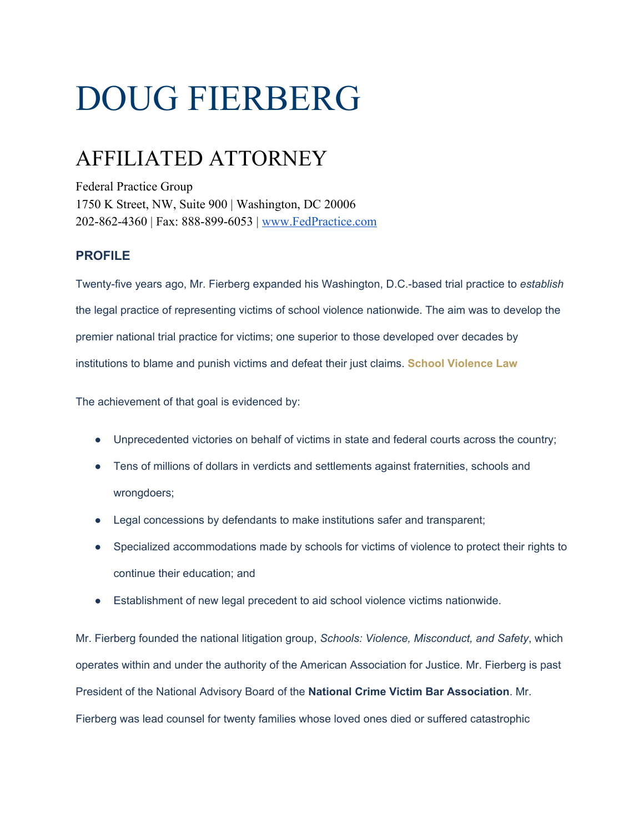## DOUG FIERBERG

## AFFILIATED ATTORNEY

Federal Practice Group 1750 K Street, NW, Suite 900 | Washington, DC 20006 202-862-4360 | Fax: 888-899-6053 | [www.FedPractice.com](http://www.fedpractice.com/)

## **PROFILE**

Twenty-five years ago, Mr. Fierberg expanded his Washington, D.C.-based trial practice to *establish* the legal practice of representing victims of school violence nationwide. The aim was to develop the premier national trial practice for victims; one superior to those developed over decades by institutions to blame and punish victims and defeat their just claims. **[School Violence Law](http://www.schoolviolencelaw.com/)**

The achievement of that goal is evidenced by:

- Unprecedented victories on behalf of victims in state and federal courts across the country;
- Tens of millions of dollars in verdicts and settlements against fraternities, schools and wrongdoers;
- Legal concessions by defendants to make institutions safer and transparent;
- Specialized accommodations made by schools for victims of violence to protect their rights to continue their education; and
- Establishment of new legal precedent to aid school violence victims nationwide.

Mr. Fierberg founded the national litigation group, *Schools: Violence, Misconduct, and Safety*, which operates within and under the authority of the American Association for Justice. Mr. Fierberg is past President of the National Advisory Board of the **National Crime Victim Bar Association**. Mr. Fierberg was lead counsel for twenty families whose loved ones died or suffered catastrophic